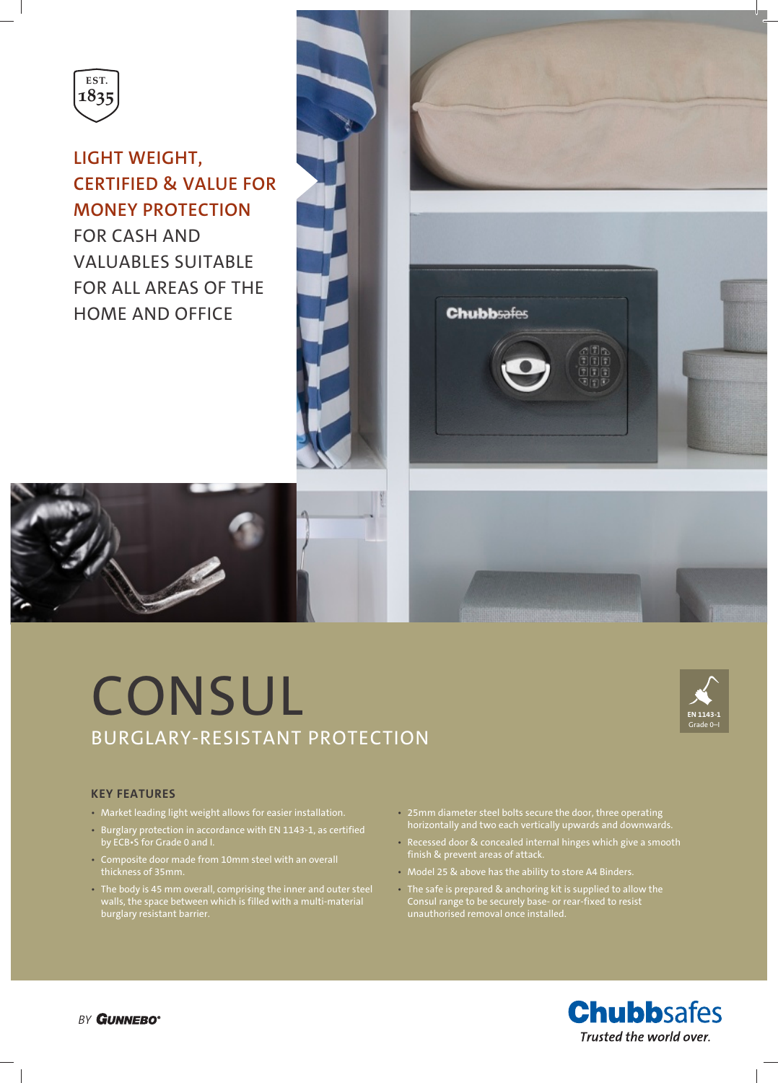

# **LIGHT WEIGHT, CERTIFIED & VALUE FOR MONEY PROTECTION**

FOR CASH AND VALUABLES SUITABLE FOR ALL AREAS OF THE HOME AND OFFICE



# **CONSUL** BURGLARY-RESISTANT PROTECTION



## **KEY FEATURES**

- Market leading light weight allows for easier installation.
- Burglary protection in accordance with EN 1143-1, as certified by ECB•S for Grade 0 and I.
- Composite door made from 10mm steel with an overall thickness of 35mm.
- The body is 45 mm overall, comprising the inner and outer steel walls, the space between which is filled with a multi-material burglary resistant barrier.
- 25mm diameter steel bolts secure the door, three operating horizontally and two each vertically upwards and downwards.
- Recessed door & concealed internal hinges which give a smooth
- Model 25 & above has the ability to store A4 Binders.
- The safe is prepared & anchoring kit is supplied to allow the Consul range to be securely base- or rear-fixed to resist unauthorised removal once installed.